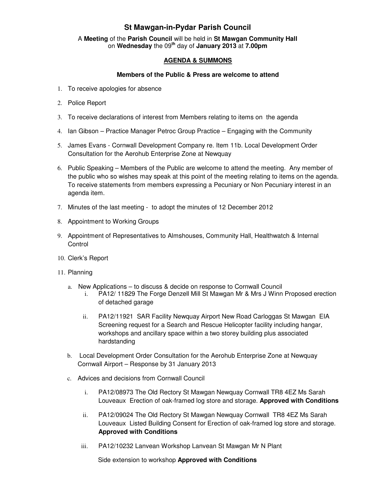## **St Mawgan-in-Pydar Parish Council**

A **Meeting** of the **Parish Council** will be held in **St Mawgan Community Hall** on **Wednesday** the 09**th** day of **January 2013** at **7.00pm** 

## **AGENDA & SUMMONS**

## **Members of the Public & Press are welcome to attend**

- 1. To receive apologies for absence
- 2. Police Report
- 3. To receive declarations of interest from Members relating to items on the agenda
- 4. Ian Gibson Practice Manager Petroc Group Practice Engaging with the Community
- 5. James Evans Cornwall Development Company re. Item 11b. Local Development Order Consultation for the Aerohub Enterprise Zone at Newquay
- 6. Public Speaking Members of the Public are welcome to attend the meeting. Any member of the public who so wishes may speak at this point of the meeting relating to items on the agenda. To receive statements from members expressing a Pecuniary or Non Pecuniary interest in an agenda item.
- 7. Minutes of the last meeting to adopt the minutes of 12 December 2012
- 8. Appointment to Working Groups
- 9. Appointment of Representatives to Almshouses, Community Hall, Healthwatch & Internal **Control**
- 10. Clerk's Report
- 11. Planning
	- a. New Applications to discuss & decide on response to Cornwall Council
		- i. PA12/ 11829 The Forge Denzell Mill St Mawgan Mr & Mrs J Winn Proposed erection of detached garage
		- ii. PA12/11921 SAR Facility Newquay Airport New Road Carloggas St Mawgan EIA Screening request for a Search and Rescue Helicopter facility including hangar, workshops and ancillary space within a two storey building plus associated hardstanding
	- b. Local Development Order Consultation for the Aerohub Enterprise Zone at Newquay Cornwall Airport – Response by 31 January 2013
	- c. Advices and decisions from Cornwall Council
		- i. PA12/08973 The Old Rectory St Mawgan Newquay Cornwall TR8 4EZ Ms Sarah Louveaux Erection of oak-framed log store and storage. **Approved with Conditions**
		- ii. PA12/09024 The Old Rectory St Mawgan Newquay Cornwall TR8 4EZ Ms Sarah Louveaux Listed Building Consent for Erection of oak-framed log store and storage. **Approved with Conditions**
		- iii. PA12/10232 Lanvean Workshop Lanvean St Mawgan Mr N Plant

Side extension to workshop **Approved with Conditions**